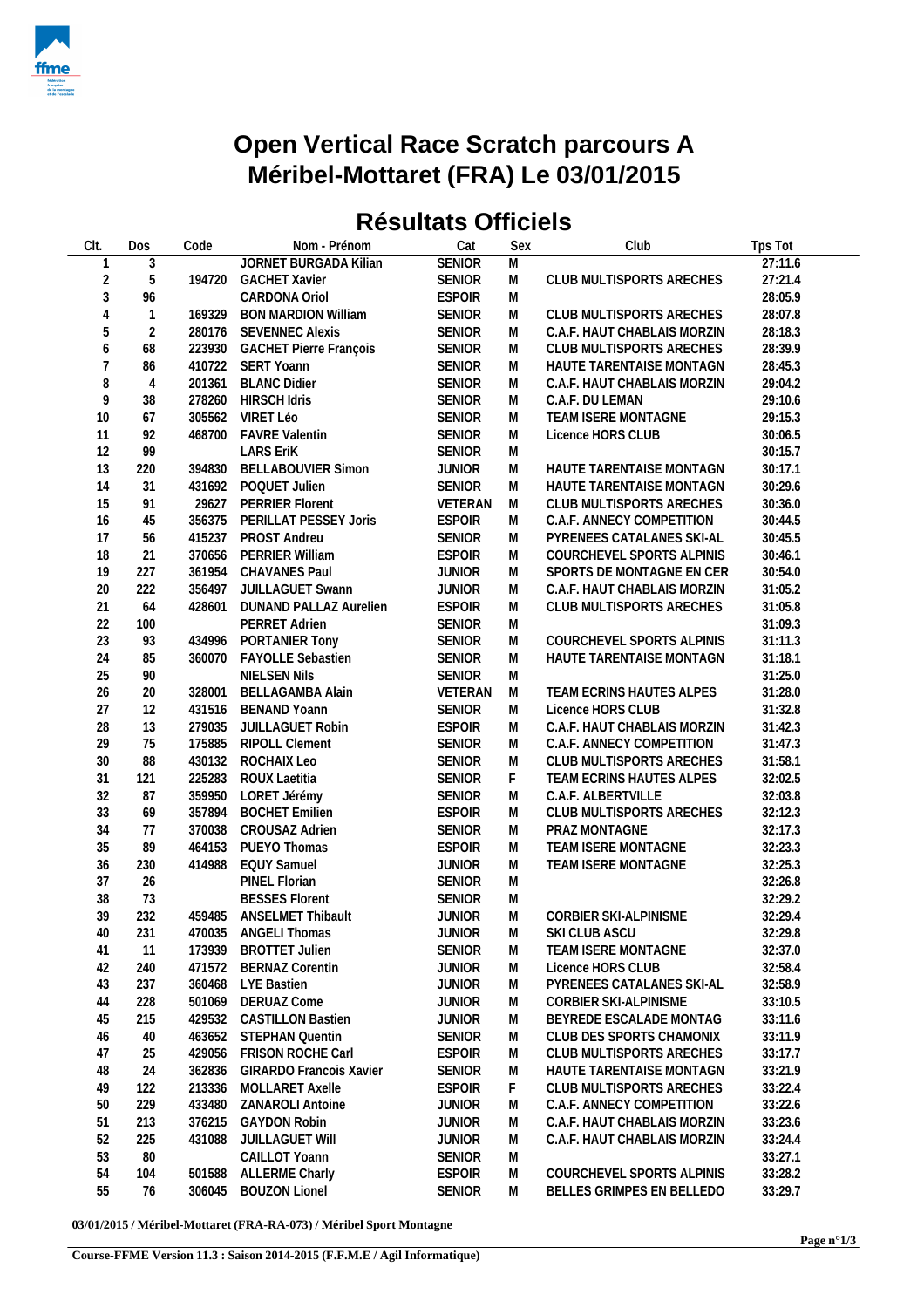

## **Open Vertical Race Scratch parcours A Méribel-Mottaret (FRA) Le 03/01/2015**

## **Résultats Officiels**

| Clt.           | Dos            | Code   | Nom - Prénom                   | Cat           | Sex      | Club                        | Tps Tot |
|----------------|----------------|--------|--------------------------------|---------------|----------|-----------------------------|---------|
| 1              | 3              |        | <b>JORNET BURGADA Kilian</b>   | <b>SENIOR</b> | M        |                             | 27:11.6 |
| $\overline{2}$ | 5              | 194720 | <b>GACHET Xavier</b>           | SENIOR        | M        | CLUB MULTISPORTS ARECHES    | 27:21.4 |
| $\mathfrak{Z}$ | 96             |        | CARDONA Oriol                  | <b>ESPOIR</b> | M        |                             | 28:05.9 |
| $\overline{4}$ | $\mathbf{1}$   | 169329 | <b>BON MARDION William</b>     | <b>SENIOR</b> | M        | CLUB MULTISPORTS ARECHES    | 28:07.8 |
| 5              | $\overline{2}$ | 280176 | <b>SEVENNEC Alexis</b>         | SENIOR        | M        | C.A.F. HAUT CHABLAIS MORZIN | 28:18.3 |
| 6              | 68             | 223930 | <b>GACHET Pierre François</b>  | SENIOR        | M        | CLUB MULTISPORTS ARECHES    | 28:39.9 |
| $\overline{7}$ | 86             |        | 410722 SERT Yoann              | SENIOR        | M        | HAUTE TARENTAISE MONTAGN    | 28:45.3 |
| 8              | $\overline{4}$ | 201361 | <b>BLANC Didier</b>            | SENIOR        | M        | C.A.F. HAUT CHABLAIS MORZIN | 29:04.2 |
| 9              | 38             | 278260 | <b>HIRSCH Idris</b>            | SENIOR        | M        | C.A.F. DU LEMAN             | 29:10.6 |
|                |                |        |                                |               |          |                             |         |
| $10$           | 67             |        | 305562 VIRET Léo               | <b>SENIOR</b> | M        | TEAM ISERE MONTAGNE         | 29:15.3 |
| 11             | 92             | 468700 | <b>FAVRE Valentin</b>          | <b>SENIOR</b> | M        | Licence HORS CLUB           | 30:06.5 |
| 12             | 99             |        | <b>LARS EriK</b>               | SENIOR        | M        |                             | 30:15.7 |
| 13             | 220            |        | 394830 BELLABOUVIER Simon      | <b>JUNIOR</b> | M        | HAUTE TARENTAISE MONTAGN    | 30:17.1 |
| 14             | 31             |        | 431692 POQUET Julien           | <b>SENIOR</b> | M        | HAUTE TARENTAISE MONTAGN    | 30:29.6 |
| 15             | 91             | 29627  | <b>PERRIER Florent</b>         | VETERAN       | M        | CLUB MULTISPORTS ARECHES    | 30:36.0 |
| 16             | 45             | 356375 | PERILLAT PESSEY Joris          | <b>ESPOIR</b> | M        | C.A.F. ANNECY COMPETITION   | 30:44.5 |
| 17             | 56             | 415237 | <b>PROST Andreu</b>            | <b>SENIOR</b> | M        | PYRENEES CATALANES SKI-AL   | 30:45.5 |
| 18             | 21             | 370656 | PERRIER William                | <b>ESPOIR</b> | M        | COURCHEVEL SPORTS ALPINIS   | 30:46.1 |
| 19             | 227            | 361954 | <b>CHAVANES Paul</b>           | <b>JUNIOR</b> | M        | SPORTS DE MONTAGNE EN CER   | 30:54.0 |
| 20             | 222            | 356497 | <b>JUILLAGUET Swann</b>        | <b>JUNIOR</b> | M        | C.A.F. HAUT CHABLAIS MORZIN | 31:05.2 |
| 21             | 64             | 428601 | DUNAND PALLAZ Aurelien         | <b>ESPOIR</b> | M        | CLUB MULTISPORTS ARECHES    | 31:05.8 |
| 22             | 100            |        | PERRET Adrien                  | <b>SENIOR</b> | M        |                             | 31:09.3 |
| 23             | 93             | 434996 | PORTANIER Tony                 | SENIOR        | M        | COURCHEVEL SPORTS ALPINIS   | 31:11.3 |
| 24             | 85             | 360070 | <b>FAYOLLE Sebastien</b>       | <b>SENIOR</b> | M        | HAUTE TARENTAISE MONTAGN    | 31:18.1 |
| 25             | $90\,$         |        | NIELSEN Nils                   | SENIOR        | M        |                             | 31:25.0 |
| 26             | 20             | 328001 | <b>BELLAGAMBA Alain</b>        | VETERAN       | M        | TEAM ECRINS HAUTES ALPES    | 31:28.0 |
| 27             | 12             | 431516 | <b>BENAND Yoann</b>            | <b>SENIOR</b> | M        | Licence HORS CLUB           | 31:32.8 |
| 28             | 13             | 279035 | JUILLAGUET Robin               | <b>ESPOIR</b> | M        | C.A.F. HAUT CHABLAIS MORZIN | 31:42.3 |
| 29             | 75             | 175885 | <b>RIPOLL Clement</b>          | <b>SENIOR</b> | M        | C.A.F. ANNECY COMPETITION   | 31:47.3 |
| $30\,$         | 88             | 430132 | ROCHAIX Leo                    | <b>SENIOR</b> | M        | CLUB MULTISPORTS ARECHES    | 31:58.1 |
| 31             | 121            | 225283 | ROUX Laetitia                  | SENIOR        | F.       | TEAM ECRINS HAUTES ALPES    | 32:02.5 |
| 32             | 87             | 359950 | LORET Jérémy                   | <b>SENIOR</b> | M        | C.A.F. ALBERTVILLE          | 32:03.8 |
| 33             | 69             | 357894 | <b>BOCHET Emilien</b>          | <b>ESPOIR</b> | M        | CLUB MULTISPORTS ARECHES    | 32:12.3 |
|                |                |        |                                |               |          |                             |         |
| 34             | 77             | 370038 | <b>CROUSAZ Adrien</b>          | <b>SENIOR</b> | M        | PRAZ MONTAGNE               | 32:17.3 |
| 35             | 89             | 464153 | PUEYO Thomas                   | <b>ESPOIR</b> | M        | TEAM ISERE MONTAGNE         | 32:23.3 |
| 36             | 230            | 414988 | <b>EQUY Samuel</b>             | <b>JUNIOR</b> | M        | TEAM ISERE MONTAGNE         | 32:25.3 |
| 37             | 26             |        | PINEL Florian                  | SENIOR        | M        |                             | 32:26.8 |
| 38             | 73             |        | <b>BESSES Florent</b>          | SENIOR        | M        |                             | 32:29.2 |
| 39             | 232            |        | 459485 ANSELMET Thibault       | <b>JUNIOR</b> | M        | CORBIER SKI-ALPINISME       | 32:29.4 |
| 40             | 231            |        | 470035 ANGELI Thomas           | <b>JUNIOR</b> | <b>M</b> | SKI CLUB ASCU               | 32:29.8 |
| 41             | 11             |        | 173939 BROTTET Julien          | <b>SENIOR</b> | M        | TEAM ISERE MONTAGNE         | 32:37.0 |
| 42             | 240            | 471572 | <b>BERNAZ Corentin</b>         | <b>JUNIOR</b> | M        | Licence HORS CLUB           | 32:58.4 |
| 43             | 237            | 360468 | LYE Bastien                    | <b>JUNIOR</b> | M        | PYRENEES CATALANES SKI-AL   | 32:58.9 |
| 44             | 228            | 501069 | <b>DERUAZ Come</b>             | <b>JUNIOR</b> | M        | CORBIER SKI-ALPINISME       | 33:10.5 |
| 45             | 215            | 429532 | <b>CASTILLON Bastien</b>       | <b>JUNIOR</b> | M        | BEYREDE ESCALADE MONTAG     | 33:11.6 |
| 46             | 40             | 463652 | <b>STEPHAN Quentin</b>         | <b>SENIOR</b> | M        | CLUB DES SPORTS CHAMONIX    | 33:11.9 |
| 47             | 25             | 429056 | FRISON ROCHE Carl              | <b>ESPOIR</b> | M        | CLUB MULTISPORTS ARECHES    | 33:17.7 |
| 48             | 24             | 362836 | <b>GIRARDO Francois Xavier</b> | <b>SENIOR</b> | M        | HAUTE TARENTAISE MONTAGN    | 33:21.9 |
| 49             | 122            | 213336 | MOLLARET Axelle                | <b>ESPOIR</b> | F.       | CLUB MULTISPORTS ARECHES    | 33:22.4 |
| 50             | 229            | 433480 | <b>ZANAROLI Antoine</b>        | <b>JUNIOR</b> | M        | C.A.F. ANNECY COMPETITION   | 33:22.6 |
| 51             | 213            | 376215 | <b>GAYDON Robin</b>            | <b>JUNIOR</b> | M        | C.A.F. HAUT CHABLAIS MORZIN | 33:23.6 |
| 52             |                | 431088 |                                | <b>JUNIOR</b> |          |                             | 33:24.4 |
| 53             | 225<br>80      |        | JUILLAGUET WIII                | <b>SENIOR</b> | M        | C.A.F. HAUT CHABLAIS MORZIN |         |
|                |                |        | CAILLOT Yoann                  |               | M        |                             | 33:27.1 |
| 54             | 104            | 501588 | <b>ALLERME Charly</b>          | <b>ESPOIR</b> | M        | COURCHEVEL SPORTS ALPINIS   | 33:28.2 |
| 55             | 76             | 306045 | <b>BOUZON Lionel</b>           | <b>SENIOR</b> | M        | BELLES GRIMPES EN BELLEDO   | 33:29.7 |

**03/01/2015 / Méribel-Mottaret (FRA-RA-073) / Méribel Sport Montagne**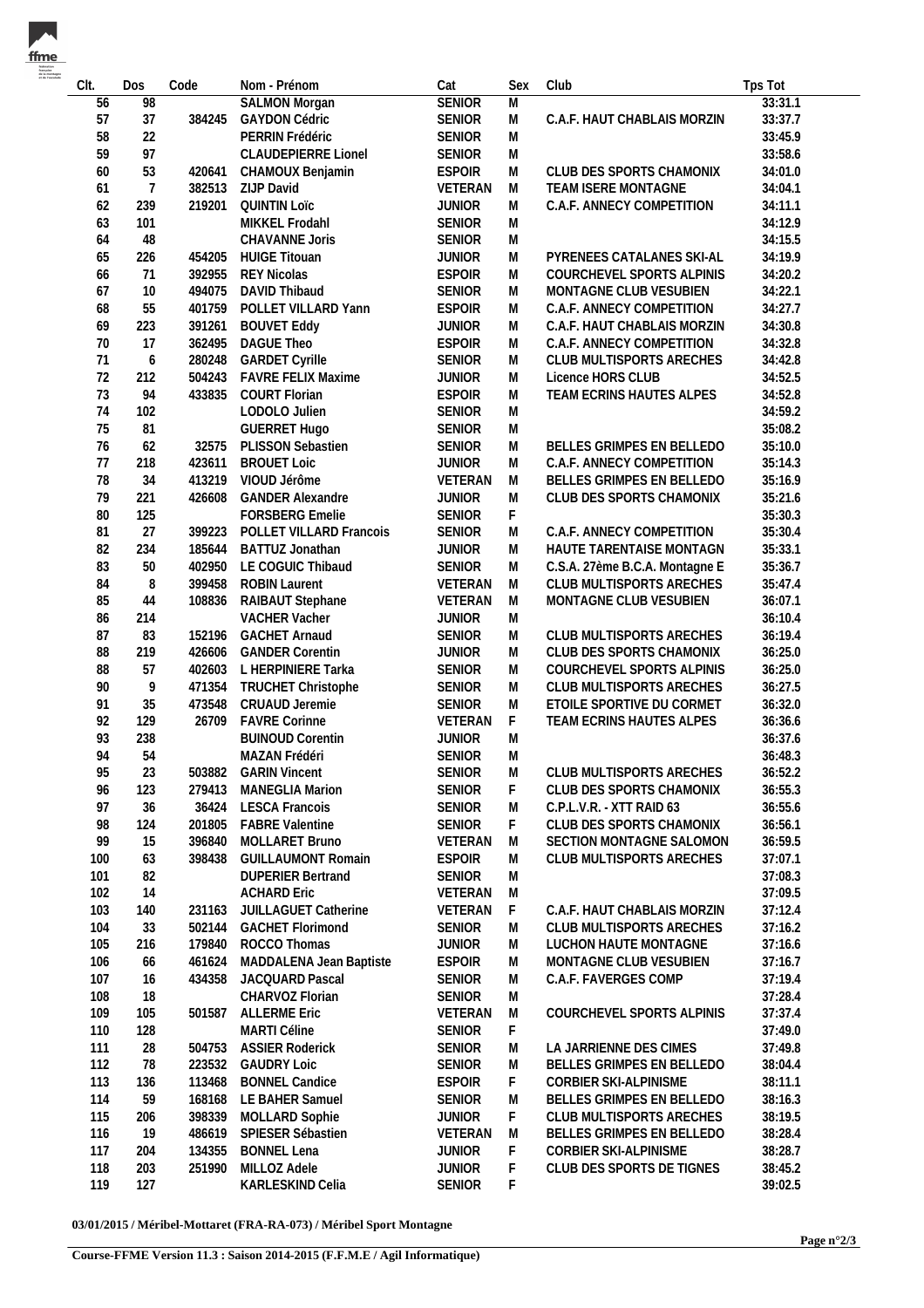| CIt. | Dos            | Code   | Nom - Prénom               | Cat           | Sex         | Club                           | Tps Tot |
|------|----------------|--------|----------------------------|---------------|-------------|--------------------------------|---------|
| 56   | 98             |        | <b>SALMON Morgan</b>       | <b>SENIOR</b> | M           |                                | 33:31.1 |
| 57   | 37             | 384245 | <b>GAYDON Cédric</b>       | SENIOR        | M           | C.A.F. HAUT CHABLAIS MORZIN    | 33:37.7 |
| 58   | 22             |        | PERRIN Frédéric            | <b>SENIOR</b> | M           |                                | 33:45.9 |
| 59   | 97             |        | <b>CLAUDEPIERRE Lionel</b> | SENIOR        | M           |                                | 33:58.6 |
| 60   | 53             | 420641 | CHAMOUX Benjamin           | <b>ESPOIR</b> | M           | CLUB DES SPORTS CHAMONIX       | 34:01.0 |
| 61   | $\overline{7}$ |        | ZIJP David                 |               |             |                                | 34:04.1 |
|      |                | 382513 |                            | VETERAN       | M           | TEAM ISERE MONTAGNE            |         |
| 62   | 239            | 219201 | <b>QUINTIN LOTC</b>        | <b>JUNIOR</b> | M           | C.A.F. ANNECY COMPETITION      | 34:11.1 |
| 63   | 101            |        | MIKKEL Frodahl             | <b>SENIOR</b> | M           |                                | 34:12.9 |
| 64   | 48             |        | CHAVANNE Joris             | SENIOR        | M           |                                | 34:15.5 |
| 65   | 226            | 454205 | <b>HUIGE Titouan</b>       | <b>JUNIOR</b> | M           | PYRENEES CATALANES SKI-AL      | 34:19.9 |
| 66   | 71             | 392955 | <b>REY Nicolas</b>         | <b>ESPOIR</b> | M           | COURCHEVEL SPORTS ALPINIS      | 34:20.2 |
| 67   | 10             | 494075 | DAVID Thibaud              | SENIOR        | M           | MONTAGNE CLUB VESUBIEN         | 34:22.1 |
| 68   | 55             | 401759 | POLLET VILLARD Yann        | <b>ESPOIR</b> | M           | C.A.F. ANNECY COMPETITION      | 34:27.7 |
| 69   | 223            | 391261 | <b>BOUVET Eddy</b>         | <b>JUNIOR</b> | M           | C.A.F. HAUT CHABLAIS MORZIN    | 34:30.8 |
| 70   | 17             | 362495 | DAGUE Theo                 | <b>ESPOIR</b> | M           | C.A.F. ANNECY COMPETITION      | 34:32.8 |
| 71   |                |        |                            |               |             |                                |         |
|      | 6              | 280248 | <b>GARDET Cyrille</b>      | SENIOR        | M           | CLUB MULTISPORTS ARECHES       | 34:42.8 |
| 72   | 212            | 504243 | <b>FAVRE FELIX Maxime</b>  | <b>JUNIOR</b> | M           | Licence HORS CLUB              | 34:52.5 |
| 73   | 94             | 433835 | <b>COURT Florian</b>       | <b>ESPOIR</b> | M           | TEAM ECRINS HAUTES ALPES       | 34:52.8 |
| 74   | 102            |        | LODOLO Julien              | <b>SENIOR</b> | M           |                                | 34:59.2 |
| 75   | 81             |        | <b>GUERRET Hugo</b>        | SENIOR        | M           |                                | 35:08.2 |
| 76   | 62             | 32575  | PLISSON Sebastien          | <b>SENIOR</b> | M           | BELLES GRIMPES EN BELLEDO      | 35:10.0 |
| 77   | 218            | 423611 | <b>BROUET Loic</b>         | <b>JUNIOR</b> | M           | C.A.F. ANNECY COMPETITION      | 35:14.3 |
| 78   | 34             | 413219 | VIOUD Jérôme               | VETERAN       | M           | BELLES GRIMPES EN BELLEDO      | 35:16.9 |
| 79   | 221            | 426608 | <b>GANDER Alexandre</b>    | <b>JUNIOR</b> | M           | CLUB DES SPORTS CHAMONIX       | 35:21.6 |
| 80   | 125            |        | FORSBERG Emelie            | SENIOR        | F.          |                                | 35:30.3 |
|      |                |        |                            |               |             |                                |         |
| 81   | 27             | 399223 | POLLET VILLARD Francois    | SENIOR        | M           | C.A.F. ANNECY COMPETITION      | 35:30.4 |
| 82   | 234            | 185644 | BATTUZ Jonathan            | <b>JUNIOR</b> | M           | HAUTE TARENTAISE MONTAGN       | 35:33.1 |
| 83   | 50             | 402950 | LE COGUIC Thibaud          | SENIOR        | M           | C.S.A. 27ème B.C.A. Montagne E | 35:36.7 |
| 84   | 8              | 399458 | <b>ROBIN Laurent</b>       | VETERAN       | M           | CLUB MULTISPORTS ARECHES       | 35:47.4 |
| 85   | 44             | 108836 | RAIBAUT Stephane           | VETERAN       | M           | MONTAGNE CLUB VESUBIEN         | 36:07.1 |
| 86   | 214            |        | VACHER Vacher              | <b>JUNIOR</b> | M           |                                | 36:10.4 |
| 87   | 83             | 152196 | <b>GACHET Arnaud</b>       | SENIOR        | M           | CLUB MULTISPORTS ARECHES       | 36:19.4 |
| 88   | 219            | 426606 | <b>GANDER Corentin</b>     | <b>JUNIOR</b> | M           | CLUB DES SPORTS CHAMONIX       | 36:25.0 |
| 88   | 57             |        | 402603 L HERPINIERE Tarka  | SENIOR        | M           | COURCHEVEL SPORTS ALPINIS      | 36:25.0 |
| 90   | 9              | 471354 | TRUCHET Christophe         | SENIOR        | M           | CLUB MULTISPORTS ARECHES       | 36:27.5 |
| 91   | 35             | 473548 | CRUAUD Jeremie             | SENIOR        | M           | ETOILE SPORTIVE DU CORMET      | 36:32.0 |
|      |                |        |                            |               |             |                                |         |
| 92   | 129            | 26709  | <b>FAVRE Corinne</b>       | VETERAN       | $\mathsf F$ | TEAM ECRINS HAUTES ALPES       | 36:36.6 |
| 93   | 238            |        | <b>BUINOUD Corentin</b>    | <b>JUNIOR</b> | M           |                                | 36:37.6 |
| 94   | 54             |        | MAZAN Frédéri              | <b>SENIOR</b> | M           |                                | 36:48.3 |
| 95   | 23             | 503882 | <b>GARIN Vincent</b>       | <b>SENIOR</b> | M           | CLUB MULTISPORTS ARECHES       | 36:52.2 |
| 96   | 123            | 279413 | <b>MANEGLIA Marion</b>     | SENIOR        | F.          | CLUB DES SPORTS CHAMONIX       | 36:55.3 |
| 97   | 36             | 36424  | <b>LESCA Francois</b>      | SENIOR        | M           | C.P.L.V.R. - XTT RAID 63       | 36:55.6 |
| 98   | 124            | 201805 | <b>FABRE Valentine</b>     | <b>SENIOR</b> | F.          | CLUB DES SPORTS CHAMONIX       | 36:56.1 |
| 99   | 15             | 396840 | MOLLARET Bruno             | VETERAN       | M           | SECTION MONTAGNE SALOMON       | 36:59.5 |
| 100  | 63             | 398438 | <b>GUILLAUMONT Romain</b>  | <b>ESPOIR</b> | M           | CLUB MULTISPORTS ARECHES       | 37:07.1 |
| 101  | 82             |        | <b>DUPERIER Bertrand</b>   | SENIOR        | M           |                                | 37:08.3 |
|      |                |        |                            |               |             |                                |         |
| 102  | 14             |        | <b>ACHARD Eric</b>         | VETERAN       | M           |                                | 37:09.5 |
| 103  | 140            | 231163 | JUILLAGUET Catherine       | VETERAN       | F.          | C.A.F. HAUT CHABLAIS MORZIN    | 37:12.4 |
| 104  | 33             | 502144 | <b>GACHET Florimond</b>    | <b>SENIOR</b> | M           | CLUB MULTISPORTS ARECHES       | 37:16.2 |
| 105  | 216            | 179840 | ROCCO Thomas               | <b>JUNIOR</b> | M           | LUCHON HAUTE MONTAGNE          | 37:16.6 |
| 106  | 66             | 461624 | MADDALENA Jean Baptiste    | <b>ESPOIR</b> | M           | MONTAGNE CLUB VESUBIEN         | 37:16.7 |
| 107  | 16             | 434358 | JACQUARD Pascal            | SENIOR        | M           | C.A.F. FAVERGES COMP           | 37:19.4 |
| 108  | 18             |        | CHARVOZ Florian            | <b>SENIOR</b> | M           |                                | 37:28.4 |
| 109  | 105            | 501587 | <b>ALLERME Eric</b>        | VETERAN       | M           | COURCHEVEL SPORTS ALPINIS      | 37:37.4 |
| 110  | 128            |        | MARTI Céline               | SENIOR        | F           |                                | 37:49.0 |
| 111  |                | 504753 | <b>ASSIER Roderick</b>     | <b>SENIOR</b> | M           | LA JARRIENNE DES CIMES         | 37:49.8 |
|      | 28             |        |                            |               |             |                                |         |
| 112  | 78             | 223532 | <b>GAUDRY Loic</b>         | SENIOR        | M           | BELLES GRIMPES EN BELLEDO      | 38:04.4 |
| 113  | 136            | 113468 | <b>BONNEL Candice</b>      | <b>ESPOIR</b> | F           | CORBIER SKI-ALPINISME          | 38:11.1 |
| 114  | 59             | 168168 | LE BAHER Samuel            | SENIOR        | M           | BELLES GRIMPES EN BELLEDO      | 38:16.3 |
| 115  | 206            | 398339 | MOLLARD Sophie             | <b>JUNIOR</b> | F           | CLUB MULTISPORTS ARECHES       | 38:19.5 |
| 116  | 19             | 486619 | SPIESER Sébastien          | VETERAN       | M           | BELLES GRIMPES EN BELLEDO      | 38:28.4 |
| 117  | 204            | 134355 | <b>BONNEL Lena</b>         | <b>JUNIOR</b> | F           | CORBIER SKI-ALPINISME          | 38:28.7 |
| 118  | 203            | 251990 | MILLOZ Adele               | <b>JUNIOR</b> | F           | CLUB DES SPORTS DE TIGNES      | 38:45.2 |
| 119  | 127            |        | KARLESKIND Celia           | SENIOR        | F           |                                | 39:02.5 |
|      |                |        |                            |               |             |                                |         |

**03/01/2015 / Méribel-Mottaret (FRA-RA-073) / Méribel Sport Montagne**